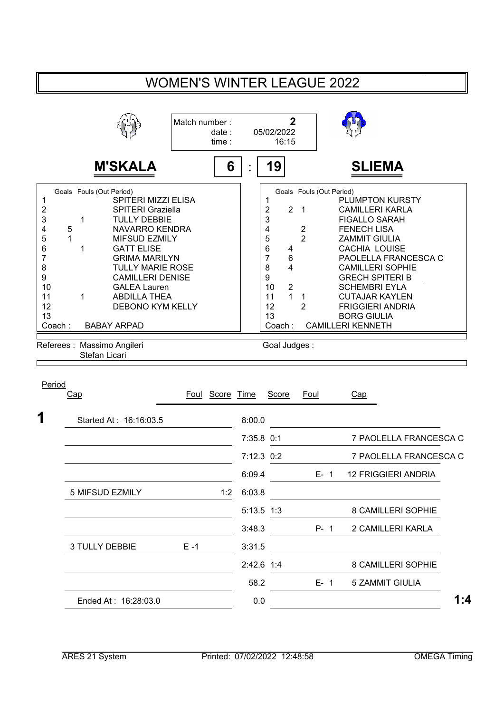## WOMEN'S WINTER LEAGUE 2022

|                                                                                                                                                                                                                                   | Match number:<br>date:<br>time :                                                                                                                                                                                 | $\overline{2}$<br>05/02/2022<br>16:15                                                                                                                                                                                                                              |                                                                                                                                                                                                                                                                                                                                                           |
|-----------------------------------------------------------------------------------------------------------------------------------------------------------------------------------------------------------------------------------|------------------------------------------------------------------------------------------------------------------------------------------------------------------------------------------------------------------|--------------------------------------------------------------------------------------------------------------------------------------------------------------------------------------------------------------------------------------------------------------------|-----------------------------------------------------------------------------------------------------------------------------------------------------------------------------------------------------------------------------------------------------------------------------------------------------------------------------------------------------------|
| <b>M'SKALA</b>                                                                                                                                                                                                                    | 6                                                                                                                                                                                                                | 19                                                                                                                                                                                                                                                                 | <b>SLIEMA</b>                                                                                                                                                                                                                                                                                                                                             |
| Goals Fouls (Out Period)<br>2<br>3<br><b>TULLY DEBBIE</b><br>1<br>5<br>4<br>5<br>6<br><b>GATT ELISE</b><br>7<br>8<br>9<br>10<br><b>GALEA Lauren</b><br>11<br>1<br><b>ABDILLA THEA</b><br>12<br>13<br><b>BABAY ARPAD</b><br>Coach: | <b>SPITERI MIZZI ELISA</b><br><b>SPITERI Graziella</b><br><b>NAVARRO KENDRA</b><br><b>MIFSUD EZMILY</b><br><b>GRIMA MARILYN</b><br><b>TULLY MARIE ROSE</b><br><b>CAMILLERI DENISE</b><br><b>DEBONO KYM KELLY</b> | Goals Fouls (Out Period)<br>$\overline{2}$<br>$\overline{2}$<br>$\overline{\phantom{0}}$<br>3<br>4<br>$\overline{c}$<br>$\overline{2}$<br>5<br>6<br>4<br>7<br>$\,6$<br>8<br>4<br>9<br>$\overline{2}$<br>10<br>$\overline{1}$<br>11<br>1<br>12<br>2<br>13<br>Coach: | <b>PLUMPTON KURSTY</b><br><b>CAMILLERI KARLA</b><br><b>FIGALLO SARAH</b><br><b>FENECH LISA</b><br><b>ZAMMIT GIULIA</b><br><b>CACHIA LOUISE</b><br>PAOLELLA FRANCESCA C<br><b>CAMILLERI SOPHIE</b><br><b>GRECH SPITERI B</b><br><b>SCHEMBRI EYLA</b><br><b>CUTAJAR KAYLEN</b><br><b>FRIGGIERI ANDRIA</b><br><b>BORG GIULIA</b><br><b>CAMILLERI KENNETH</b> |
| Referees : Massimo Angileri<br>Stefan Licari                                                                                                                                                                                      |                                                                                                                                                                                                                  | Goal Judges:                                                                                                                                                                                                                                                       |                                                                                                                                                                                                                                                                                                                                                           |

| Period | Cap                    |         | Foul Score Time |              | Score | <b>Foul</b> | Cap                        |     |
|--------|------------------------|---------|-----------------|--------------|-------|-------------|----------------------------|-----|
|        |                        |         |                 |              |       |             |                            |     |
| 1      | Started At: 16:16:03.5 |         |                 | 8:00.0       |       |             |                            |     |
|        |                        |         |                 | 7:35.8 0:1   |       |             | 7 PAOLELLA FRANCESCA C     |     |
|        |                        |         |                 | $7:12.3$ 0:2 |       |             | 7 PAOLELLA FRANCESCA C     |     |
|        |                        |         |                 | 6:09.4       |       | $E - 1$     | <b>12 FRIGGIERI ANDRIA</b> |     |
|        | 5 MIFSUD EZMILY        |         | 1:2             | 6:03.8       |       |             |                            |     |
|        |                        |         |                 | $5:13.5$ 1:3 |       |             | 8 CAMILLERI SOPHIE         |     |
|        |                        |         |                 | 3:48.3       |       | $P - 1$     | 2 CAMILLERI KARLA          |     |
|        | 3 TULLY DEBBIE         | $E - 1$ |                 | 3:31.5       |       |             |                            |     |
|        |                        |         |                 | 2:42.6       | 1:4   |             | 8 CAMILLERI SOPHIE         |     |
|        |                        |         |                 | 58.2         |       | $E - 1$     | 5 ZAMMIT GIULIA            |     |
|        | Ended At: 16:28:03.0   |         |                 | 0.0          |       |             |                            | 1:4 |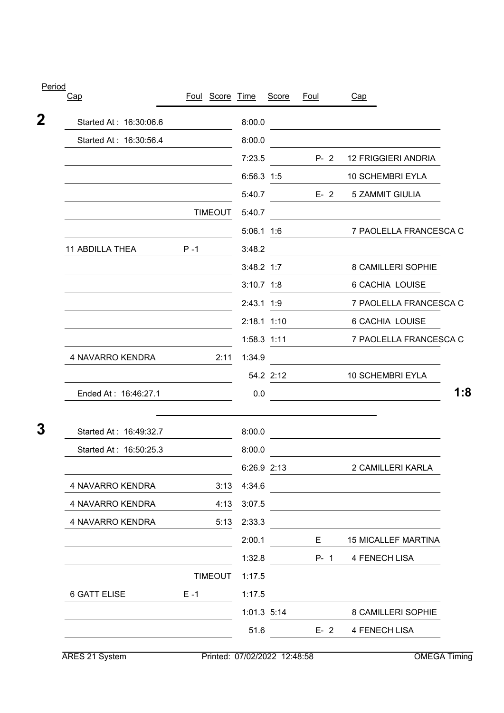| Period |                        |         |                 |              |               |             |                                               |     |
|--------|------------------------|---------|-----------------|--------------|---------------|-------------|-----------------------------------------------|-----|
| Cap    |                        |         | Foul Score Time |              | Score         | <u>Foul</u> | Cap                                           |     |
| 2      | Started At: 16:30:06.6 |         |                 | 8:00.0       |               |             |                                               |     |
|        | Started At: 16:30:56.4 |         |                 | 8:00.0       |               |             |                                               |     |
|        |                        |         |                 | 7:23.5       |               | $P - 2$     | <b>12 FRIGGIERI ANDRIA</b>                    |     |
|        |                        |         |                 | 6:56.3 1:5   |               |             | 10 SCHEMBRI EYLA                              |     |
|        |                        |         |                 | 5:40.7       |               |             | E- 2 5 ZAMMIT GIULIA                          |     |
|        |                        |         | <b>TIMEOUT</b>  | 5:40.7       |               |             |                                               |     |
|        |                        |         |                 | $5:06.1$ 1:6 |               |             | 7 PAOLELLA FRANCESCA C                        |     |
|        | <b>11 ABDILLA THEA</b> | $P - 1$ |                 | 3:48.2       |               |             |                                               |     |
|        |                        |         |                 | 3:48.2 1:7   |               |             | 8 CAMILLERI SOPHIE                            |     |
|        |                        |         |                 | $3:10.7$ 1:8 |               |             | 6 CACHIA LOUISE                               |     |
|        |                        |         |                 | 2:43.1 1:9   |               |             | 7 PAOLELLA FRANCESCA C                        |     |
|        |                        |         |                 |              | 2:18.1 1:10   |             | <b>6 CACHIA LOUISE</b>                        |     |
|        |                        |         |                 |              | $1:58.3$ 1:11 |             | 7 PAOLELLA FRANCESCA C                        |     |
|        | 4 NAVARRO KENDRA       |         | 2:11            | 1:34.9       |               |             |                                               |     |
|        |                        |         |                 |              | 54.2 2:12     |             | <b>10 SCHEMBRI EYLA</b>                       |     |
|        | Ended At: 16:46:27.1   |         |                 | 0.0          |               |             | <u> 1989 - Johann Stein, fransk politik (</u> | 1:8 |
| 3      | Started At: 16:49:32.7 |         |                 | 8:00.0       |               |             |                                               |     |
|        | Started At: 16:50:25.3 |         |                 | 8:00.0       |               |             |                                               |     |
|        |                        |         |                 | 6:26.9 2:13  |               |             | 2 CAMILLERI KARLA                             |     |
|        | 4 NAVARRO KENDRA       |         | 3:13            | 4:34.6       |               |             |                                               |     |
|        | 4 NAVARRO KENDRA       |         | 4:13            | 3:07.5       |               |             |                                               |     |
|        | 4 NAVARRO KENDRA       |         | 5:13            | 2:33.3       |               |             |                                               |     |
|        |                        |         |                 | 2:00.1       |               | E.          | <b>15 MICALLEF MARTINA</b>                    |     |
|        |                        |         |                 | 1:32.8       |               | $P - 1$     | 4 FENECH LISA                                 |     |
|        |                        |         | <b>TIMEOUT</b>  | 1:17.5       |               |             |                                               |     |
|        | <b>6 GATT ELISE</b>    | $E - 1$ |                 | 1:17.5       |               |             |                                               |     |
|        |                        |         |                 |              | 1:01.3 5:14   |             | 8 CAMILLERI SOPHIE                            |     |
|        |                        |         |                 | 51.6         |               | $E - 2$     | 4 FENECH LISA                                 |     |
|        |                        |         |                 |              |               |             |                                               |     |